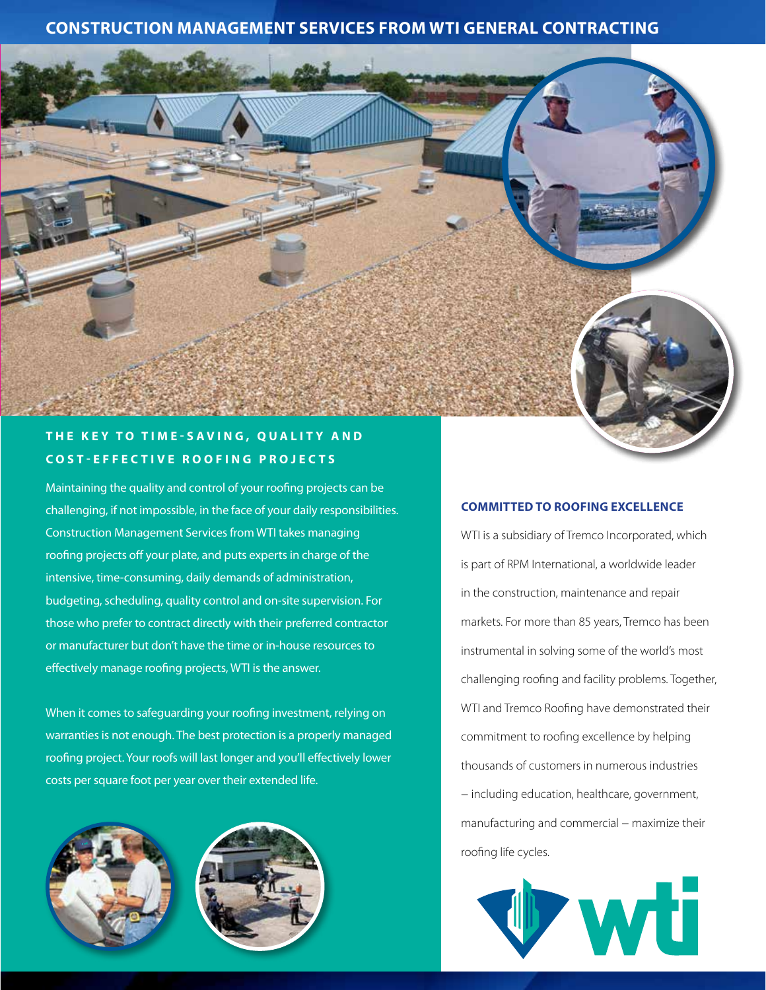# **CONSTRUCTION MANAGEMENT SERVICES FROM WTI GENERAL CONTRACTING**



## **THE KEY TO TIME-SAVING, QUALITY AND COST-EFFECTIVE ROOFING PROJECTS**

Maintaining the quality and control of your roofing projects can be challenging, if not impossible, in the face of your daily responsibilities. Construction Management Services from WTI takes managing roofing projects off your plate, and puts experts in charge of the intensive, time-consuming, daily demands of administration, budgeting, scheduling, quality control and on-site supervision. For those who prefer to contract directly with their preferred contractor or manufacturer but don't have the time or in-house resources to effectively manage roofing projects, WTI is the answer.

When it comes to safeguarding your roofing investment, relying on warranties is not enough. The best protection is a properly managed roofing project. Your roofs will last longer and you'll effectively lower costs per square foot per year over their extended life.





#### **COMMITTED TO ROOFING EXCELLENCE**

WTI is a subsidiary of Tremco Incorporated, which is part of RPM International, a worldwide leader in the construction, maintenance and repair markets. For more than 85 years, Tremco has been instrumental in solving some of the world's most challenging roofing and facility problems. Together, WTI and Tremco Roofing have demonstrated their commitment to roofing excellence by helping thousands of customers in numerous industries − including education, healthcare, government, manufacturing and commercial − maximize their roofing life cycles.

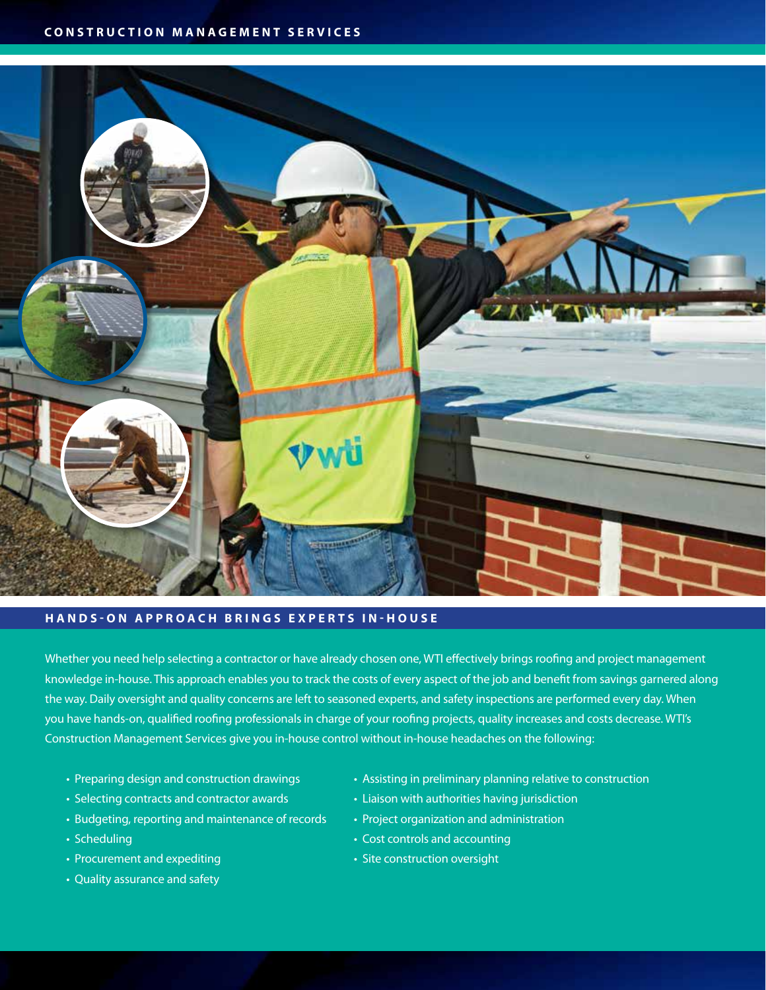

#### **HANDS-ON APPROACH BRINGS EXPERTS IN-HOUSE**

Whether you need help selecting a contractor or have already chosen one, WTI effectively brings roofing and project management knowledge in-house. This approach enables you to track the costs of every aspect of the job and benefit from savings garnered along the way. Daily oversight and quality concerns are left to seasoned experts, and safety inspections are performed every day. When you have hands-on, qualified roofing professionals in charge of your roofing projects, quality increases and costs decrease. WTI's Construction Management Services give you in-house control without in-house headaches on the following:

- 
- Selecting contracts and contractor awards Liaison with authorities having jurisdiction
- Budgeting, reporting and maintenance of records Project organization and administration
- 
- Procurement and expediting  $\cdot$  Site construction oversight
- Quality assurance and safety
- Preparing design and construction drawings Assisting in preliminary planning relative to construction
	-
	-
- Scheduling Cost controls and accounting
	-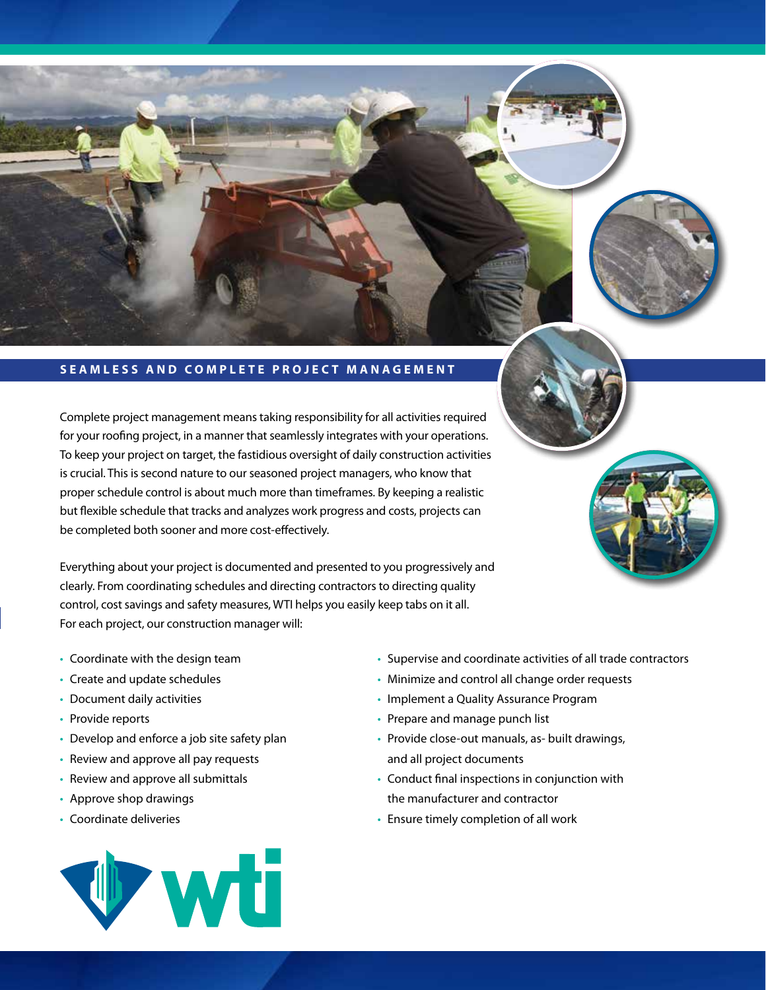

### **SEAMLESS AND COMPLETE PROJECT MANAGEMENT**

Complete project management means taking responsibility for all activities required for your roofing project, in a manner that seamlessly integrates with your operations. To keep your project on target, the fastidious oversight of daily construction activities is crucial. This is second nature to our seasoned project managers, who know that proper schedule control is about much more than timeframes. By keeping a realistic but flexible schedule that tracks and analyzes work progress and costs, projects can be completed both sooner and more cost-effectively.

Everything about your project is documented and presented to you progressively and clearly. From coordinating schedules and directing contractors to directing quality control, cost savings and safety measures, WTI helps you easily keep tabs on it all. For each project, our construction manager will:

- Coordinate with the design team
- Create and update schedules
- Document daily activities
- Provide reports
- Develop and enforce a job site safety plan
- Review and approve all pay requests
- Review and approve all submittals
- Approve shop drawings
- Coordinate deliveries



- Supervise and coordinate activities of all trade contractors
- Minimize and control all change order requests
- Implement a Quality Assurance Program
- Prepare and manage punch list
- Provide close-out manuals, as- built drawings, and all project documents
- Conduct final inspections in conjunction with the manufacturer and contractor
- Ensure timely completion of all work